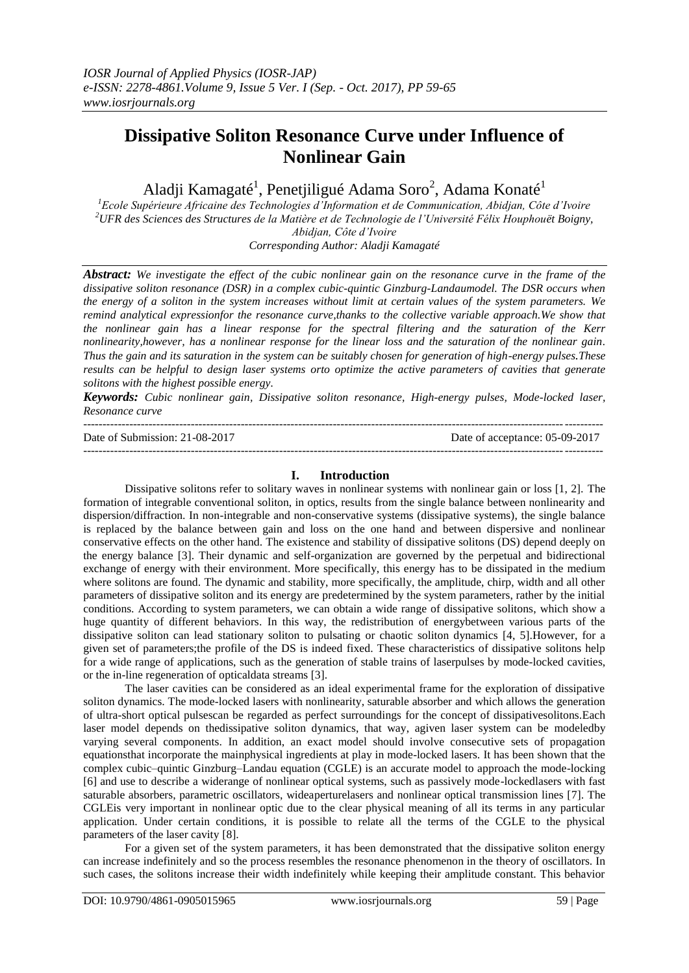# **Dissipative Soliton Resonance Curve under Influence of Nonlinear Gain**

Aladji Kamagaté<sup>1</sup>, Penetjiligué Adama Soro<sup>2</sup>, Adama Konaté<sup>1</sup>

*<sup>1</sup>Ecole Supérieure Africaine des Technologies d'Information et de Communication, Abidjan, Côte d'Ivoire <sup>2</sup>UFR des Sciences des Structures de la Matière et de Technologie de l'Université Félix Houphouët Boigny, Abidjan, Côte d'Ivoire Corresponding Author: Aladji Kamagaté*

*Abstract: We investigate the effect of the cubic nonlinear gain on the resonance curve in the frame of the dissipative soliton resonance (DSR) in a complex cubic-quintic Ginzburg-Landaumodel. The DSR occurs when the energy of a soliton in the system increases without limit at certain values of the system parameters. We remind analytical expressionfor the resonance curve,thanks to the collective variable approach.We show that the nonlinear gain has a linear response for the spectral filtering and the saturation of the Kerr nonlinearity,however, has a nonlinear response for the linear loss and the saturation of the nonlinear gain. Thus the gain and its saturation in the system can be suitably chosen for generation of high-energy pulses.These results can be helpful to design laser systems orto optimize the active parameters of cavities that generate solitons with the highest possible energy.*

*Keywords: Cubic nonlinear gain, Dissipative soliton resonance, High-energy pulses, Mode-locked laser, Resonance curve*

| Date of Submission: 21-08-2017 | Date of acceptance: 05-09-2017 |
|--------------------------------|--------------------------------|
|                                |                                |

## **I. Introduction**

Dissipative solitons refer to solitary waves in nonlinear systems with nonlinear gain or loss [1, 2]. The formation of integrable conventional soliton, in optics, results from the single balance between nonlinearity and dispersion/diffraction. In non-integrable and non-conservative systems (dissipative systems), the single balance is replaced by the balance between gain and loss on the one hand and between dispersive and nonlinear conservative effects on the other hand. The existence and stability of dissipative solitons (DS) depend deeply on the energy balance [3]. Their dynamic and self-organization are governed by the perpetual and bidirectional exchange of energy with their environment. More specifically, this energy has to be dissipated in the medium where solitons are found. The dynamic and stability, more specifically, the amplitude, chirp, width and all other parameters of dissipative soliton and its energy are predetermined by the system parameters, rather by the initial conditions. According to system parameters, we can obtain a wide range of dissipative solitons, which show a huge quantity of different behaviors. In this way, the redistribution of energybetween various parts of the dissipative soliton can lead stationary soliton to pulsating or chaotic soliton dynamics [4, 5].However, for a given set of parameters;the profile of the DS is indeed fixed. These characteristics of dissipative solitons help for a wide range of applications, such as the generation of stable trains of laserpulses by mode-locked cavities, or the in-line regeneration of opticaldata streams [3].

The laser cavities can be considered as an ideal experimental frame for the exploration of dissipative soliton dynamics. The mode-locked lasers with nonlinearity, saturable absorber and which allows the generation of ultra-short optical pulsescan be regarded as perfect surroundings for the concept of dissipativesolitons.Each laser model depends on thedissipative soliton dynamics, that way, agiven laser system can be modeledby varying several components. In addition, an exact model should involve consecutive sets of propagation equationsthat incorporate the mainphysical ingredients at play in mode-locked lasers. It has been shown that the complex cubic–quintic Ginzburg–Landau equation (CGLE) is an accurate model to approach the mode-locking [6] and use to describe a widerange of nonlinear optical systems, such as passively mode-lockedlasers with fast saturable absorbers, parametric oscillators, wideaperturelasers and nonlinear optical transmission lines [7]. The CGLEis very important in nonlinear optic due to the clear physical meaning of all its terms in any particular application. Under certain conditions, it is possible to relate all the terms of the CGLE to the physical parameters of the laser cavity [8].

For a given set of the system parameters, it has been demonstrated that the dissipative soliton energy can increase indefinitely and so the process resembles the resonance phenomenon in the theory of oscillators. In such cases, the solitons increase their width indefinitely while keeping their amplitude constant. This behavior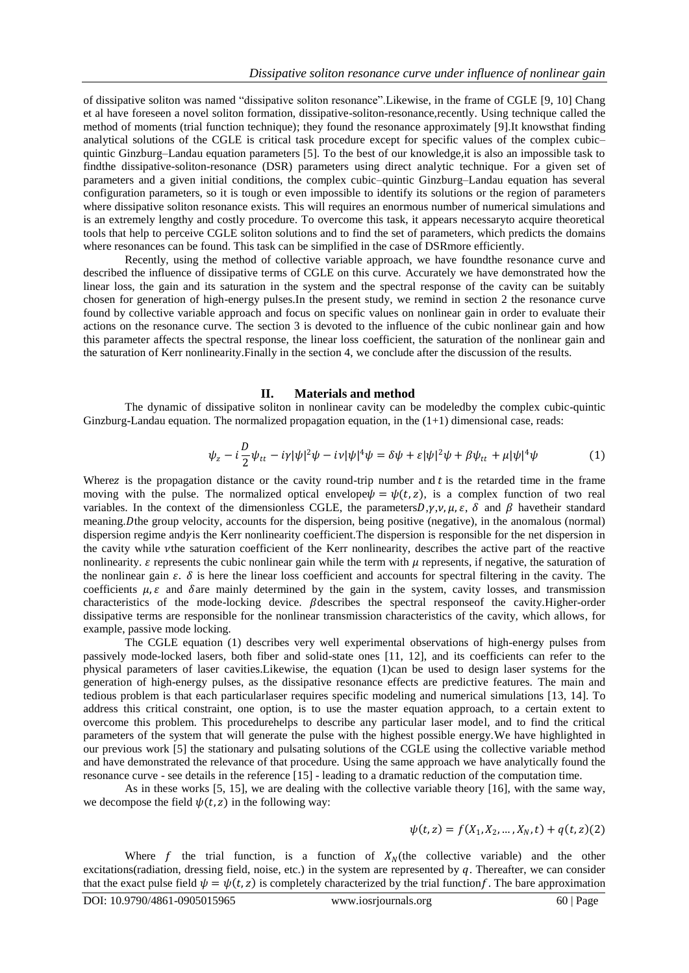of dissipative soliton was named "dissipative soliton resonance".Likewise, in the frame of CGLE [9, 10] Chang et al have foreseen a novel soliton formation, dissipative-soliton-resonance,recently. Using technique called the method of moments (trial function technique); they found the resonance approximately [9].It knowsthat finding analytical solutions of the CGLE is critical task procedure except for specific values of the complex cubic– quintic Ginzburg–Landau equation parameters [5]. To the best of our knowledge,it is also an impossible task to findthe dissipative-soliton-resonance (DSR) parameters using direct analytic technique. For a given set of parameters and a given initial conditions, the complex cubic–quintic Ginzburg–Landau equation has several configuration parameters, so it is tough or even impossible to identify its solutions or the region of parameters where dissipative soliton resonance exists. This will requires an enormous number of numerical simulations and is an extremely lengthy and costly procedure. To overcome this task, it appears necessaryto acquire theoretical tools that help to perceive CGLE soliton solutions and to find the set of parameters, which predicts the domains where resonances can be found. This task can be simplified in the case of DSR more efficiently.

Recently, using the method of collective variable approach, we have foundthe resonance curve and described the influence of dissipative terms of CGLE on this curve. Accurately we have demonstrated how the linear loss, the gain and its saturation in the system and the spectral response of the cavity can be suitably chosen for generation of high-energy pulses.In the present study, we remind in section 2 the resonance curve found by collective variable approach and focus on specific values on nonlinear gain in order to evaluate their actions on the resonance curve. The section 3 is devoted to the influence of the cubic nonlinear gain and how this parameter affects the spectral response, the linear loss coefficient, the saturation of the nonlinear gain and the saturation of Kerr nonlinearity.Finally in the section 4, we conclude after the discussion of the results.

#### **II. Materials and method**

The dynamic of dissipative soliton in nonlinear cavity can be modeledby the complex cubic-quintic Ginzburg-Landau equation. The normalized propagation equation, in the  $(1+1)$  dimensional case, reads:

$$
\psi_z - i\frac{D}{2}\psi_{tt} - i\gamma|\psi|^2\psi - i\nu|\psi|^4\psi = \delta\psi + \varepsilon|\psi|^2\psi + \beta\psi_{tt} + \mu|\psi|^4\psi \tag{1}
$$

Where z is the propagation distance or the cavity round-trip number and t is the retarded time in the frame moving with the pulse. The normalized optical envelope  $\psi = \psi(t, z)$ , is a complex function of two real variables. In the context of the dimensionless CGLE, the parameters  $D, \gamma, \nu, \mu, \varepsilon, \delta$  and  $\beta$  have their standard meaning. Dthe group velocity, accounts for the dispersion, being positive (negative), in the anomalous (normal) dispersion regime andy is the Kerr nonlinearity coefficient. The dispersion is responsible for the net dispersion in the cavity while the saturation coefficient of the Kerr nonlinearity, describes the active part of the reactive nonlinearity.  $\varepsilon$  represents the cubic nonlinear gain while the term with  $\mu$  represents, if negative, the saturation of the nonlinear gain  $\varepsilon$ .  $\delta$  is here the linear loss coefficient and accounts for spectral filtering in the cavity. The coefficients  $\mu$ ,  $\varepsilon$  and  $\delta$  are mainly determined by the gain in the system, cavity losses, and transmission characteristics of the mode-locking device.  $\beta$  describes the spectral response f the cavity. Higher-order dissipative terms are responsible for the nonlinear transmission characteristics of the cavity, which allows, for example, passive mode locking.

The CGLE equation (1) describes very well experimental observations of high-energy pulses from passively mode-locked lasers, both fiber and solid-state ones [11, 12], and its coefficients can refer to the physical parameters of laser cavities.Likewise, the equation (1)can be used to design laser systems for the generation of high-energy pulses, as the dissipative resonance effects are predictive features. The main and tedious problem is that each particularlaser requires specific modeling and numerical simulations [13, 14]. To address this critical constraint, one option, is to use the master equation approach, to a certain extent to overcome this problem. This procedurehelps to describe any particular laser model, and to find the critical parameters of the system that will generate the pulse with the highest possible energy.We have highlighted in our previous work [5] the stationary and pulsating solutions of the CGLE using the collective variable method and have demonstrated the relevance of that procedure. Using the same approach we have analytically found the resonance curve - see details in the reference [15] - leading to a dramatic reduction of the computation time.

As in these works [5, 15], we are dealing with the collective variable theory [16], with the same way, we decompose the field  $\psi(t, z)$  in the following way:

$$
\psi(t,z) = f(X_1, X_2, ..., X_N, t) + q(t, z)(2)
$$

Where f the trial function, is a function of  $X_N$ (the collective variable) and the other excitations(radiation, dressing field, noise, etc.) in the system are represented by  $q$ . Thereafter, we can consider that the exact pulse field  $\psi = \psi(t, z)$  is completely characterized by the trial function f. The bare approximation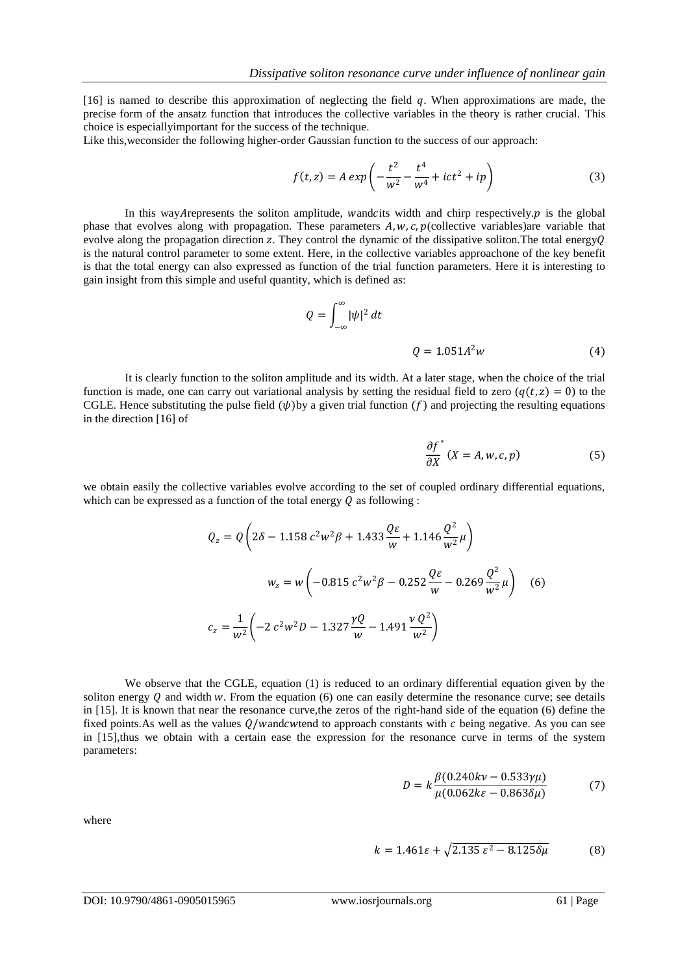[16] is named to describe this approximation of neglecting the field  $q$ . When approximations are made, the precise form of the ansatz function that introduces the collective variables in the theory is rather crucial. This choice is especiallyimportant for the success of the technique.

Like this,weconsider the following higher-order Gaussian function to the success of our approach:

$$
f(t, z) = A \exp\left(-\frac{t^2}{w^2} - \frac{t^4}{w^4} + ict^2 + ip\right)
$$
 (3)

In this way Arepresents the soliton amplitude, wandcits width and chirp respectively.  $p$  is the global phase that evolves along with propagation. These parameters  $A, w, c, p$  (collective variables)are variable that evolve along the propagation direction z. They control the dynamic of the dissipative soliton. The total energy  $\theta$ is the natural control parameter to some extent. Here, in the collective variables approachone of the key benefit is that the total energy can also expressed as function of the trial function parameters. Here it is interesting to gain insight from this simple and useful quantity, which is defined as:

$$
Q = \int_{-\infty}^{\infty} |\psi|^2 dt
$$
  
 
$$
Q = 1.051A^2 w
$$
 (4)

It is clearly function to the soliton amplitude and its width. At a later stage, when the choice of the trial function is made, one can carry out variational analysis by setting the residual field to zero  $(q(t, z) = 0)$  to the CGLE. Hence substituting the pulse field  $(\psi)$  by a given trial function  $(f)$  and projecting the resulting equations in the direction [16] of

$$
\frac{\partial f^*}{\partial X}(X = A, w, c, p) \tag{5}
$$

we obtain easily the collective variables evolve according to the set of coupled ordinary differential equations, which can be expressed as a function of the total energy  $Q$  as following :

$$
Q_z = Q\left(2\delta - 1.158 c^2 w^2 \beta + 1.433 \frac{Q\epsilon}{w} + 1.146 \frac{Q^2}{w^2} \mu\right)
$$
  

$$
w_z = w\left(-0.815 c^2 w^2 \beta - 0.252 \frac{Q\epsilon}{w} - 0.269 \frac{Q^2}{w^2} \mu\right) \quad (6)
$$
  

$$
c_z = \frac{1}{w^2} \left(-2 c^2 w^2 D - 1.327 \frac{\gamma Q}{w} - 1.491 \frac{v Q^2}{w^2}\right)
$$

We observe that the CGLE, equation (1) is reduced to an ordinary differential equation given by the soliton energy  $Q$  and width  $w$ . From the equation (6) one can easily determine the resonance curve; see details in [15]. It is known that near the resonance curve,the zeros of the right-hand side of the equation (6) define the fixed points. As well as the values  $Q/w$  and  $cw$  to approach constants with  $c$  being negative. As you can see in [15],thus we obtain with a certain ease the expression for the resonance curve in terms of the system parameters:

$$
D = k \frac{\beta (0.240kv - 0.533\gamma \mu)}{\mu (0.062k\varepsilon - 0.863\delta \mu)}
$$
(7)

where

$$
k = 1.461\varepsilon + \sqrt{2.135\varepsilon^2 - 8.125\delta\mu}
$$
 (8)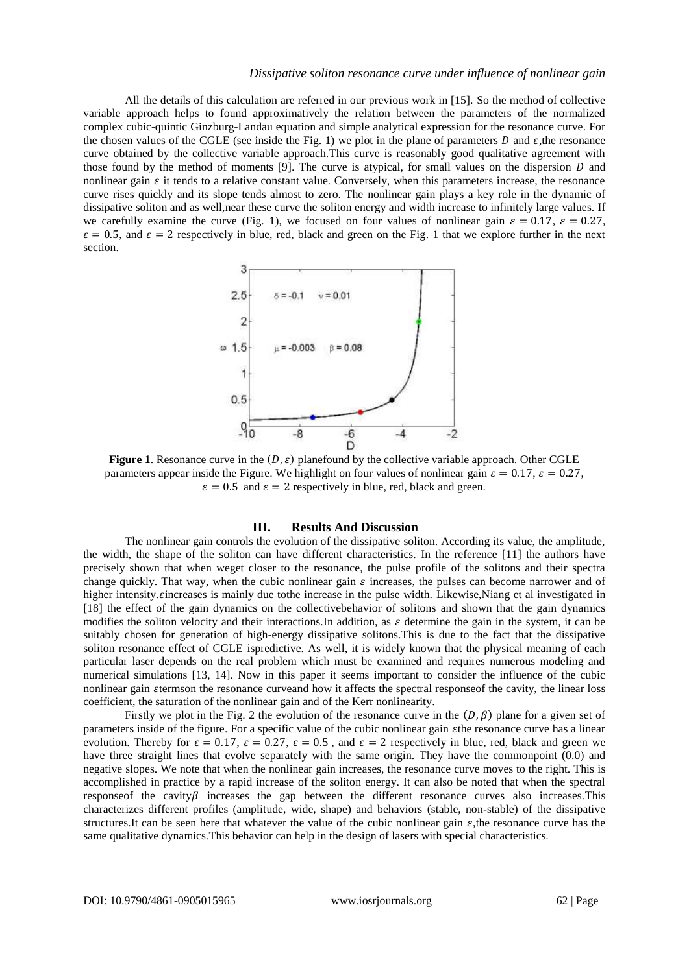All the details of this calculation are referred in our previous work in [15]. So the method of collective variable approach helps to found approximatively the relation between the parameters of the normalized complex cubic-quintic Ginzburg-Landau equation and simple analytical expression for the resonance curve. For the chosen values of the CGLE (see inside the Fig. 1) we plot in the plane of parameters  $D$  and  $\varepsilon$ , the resonance curve obtained by the collective variable approach.This curve is reasonably good qualitative agreement with those found by the method of moments [9]. The curve is atypical, for small values on the dispersion  $D$  and nonlinear gain  $\varepsilon$  it tends to a relative constant value. Conversely, when this parameters increase, the resonance curve rises quickly and its slope tends almost to zero. The nonlinear gain plays a key role in the dynamic of dissipative soliton and as well,near these curve the soliton energy and width increase to infinitely large values. If we carefully examine the curve (Fig. 1), we focused on four values of nonlinear gain  $\varepsilon = 0.17$ ,  $\varepsilon = 0.27$ ,  $\varepsilon = 0.5$ , and  $\varepsilon = 2$  respectively in blue, red, black and green on the Fig. 1 that we explore further in the next section.



**Figure 1.** Resonance curve in the  $(D, \varepsilon)$  planefound by the collective variable approach. Other CGLE parameters appear inside the Figure. We highlight on four values of nonlinear gain  $\varepsilon = 0.17$ ,  $\varepsilon = 0.27$ ,  $\varepsilon = 0.5$  and  $\varepsilon = 2$  respectively in blue, red, black and green.

## **III. Results And Discussion**

The nonlinear gain controls the evolution of the dissipative soliton. According its value, the amplitude, the width, the shape of the soliton can have different characteristics. In the reference [11] the authors have precisely shown that when weget closer to the resonance, the pulse profile of the solitons and their spectra change quickly. That way, when the cubic nonlinear gain  $\varepsilon$  increases, the pulses can become narrower and of higher intensity. zincreases is mainly due tothe increase in the pulse width. Likewise, Niang et al investigated in [18] the effect of the gain dynamics on the collectivebehavior of solitons and shown that the gain dynamics modifies the soliton velocity and their interactions. In addition, as  $\varepsilon$  determine the gain in the system, it can be suitably chosen for generation of high-energy dissipative solitons.This is due to the fact that the dissipative soliton resonance effect of CGLE ispredictive. As well, it is widely known that the physical meaning of each particular laser depends on the real problem which must be examined and requires numerous modeling and numerical simulations [13, 14]. Now in this paper it seems important to consider the influence of the cubic nonlinear gain termson the resonance curveand how it affects the spectral responseof the cavity, the linear loss coefficient, the saturation of the nonlinear gain and of the Kerr nonlinearity.

Firstly we plot in the Fig. 2 the evolution of the resonance curve in the  $(D, \beta)$  plane for a given set of parameters inside of the figure. For a specific value of the cubic nonlinear gain the resonance curve has a linear evolution. Thereby for  $\varepsilon = 0.17$ ,  $\varepsilon = 0.27$ ,  $\varepsilon = 0.5$ , and  $\varepsilon = 2$  respectively in blue, red, black and green we have three straight lines that evolve separately with the same origin. They have the commonpoint (0.0) and negative slopes. We note that when the nonlinear gain increases, the resonance curve moves to the right. This is accomplished in practice by a rapid increase of the soliton energy. It can also be noted that when the spectral response f the cavity  $\beta$  increases the gap between the different resonance curves also increases. This characterizes different profiles (amplitude, wide, shape) and behaviors (stable, non-stable) of the dissipative structures.It can be seen here that whatever the value of the cubic nonlinear gain  $\varepsilon$ , the resonance curve has the same qualitative dynamics.This behavior can help in the design of lasers with special characteristics.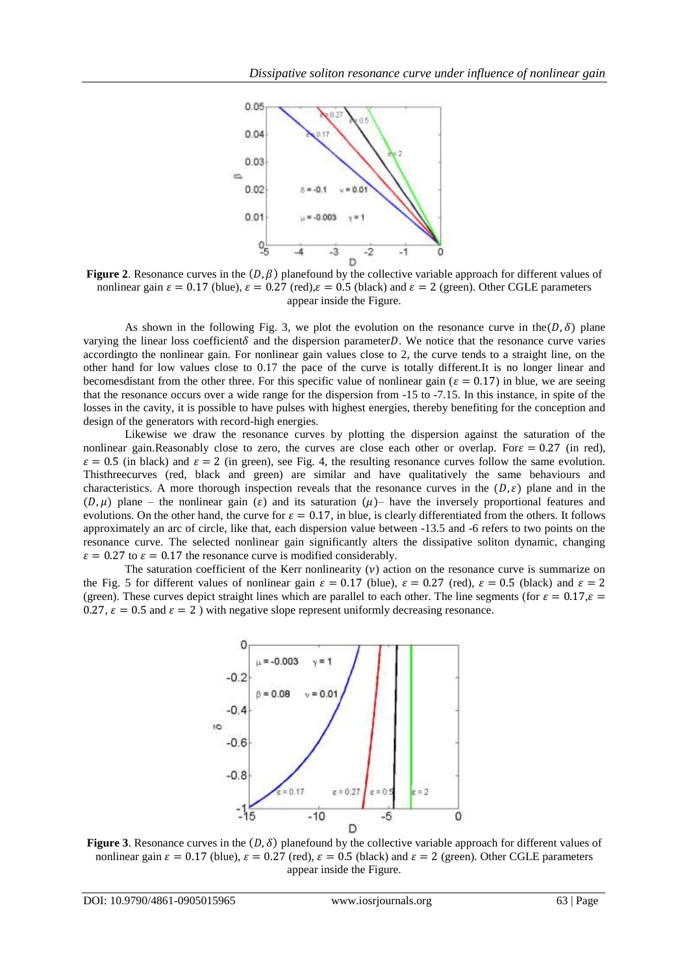

**Figure 2.** Resonance curves in the  $(D, \beta)$  planefound by the collective variable approach for different values of nonlinear gain  $\varepsilon = 0.17$  (blue),  $\varepsilon = 0.27$  (red),  $\varepsilon = 0.5$  (black) and  $\varepsilon = 2$  (green). Other CGLE parameters appear inside the Figure.

As shown in the following Fig. 3, we plot the evolution on the resonance curve in the  $(D, \delta)$  plane varying the linear loss coefficient  $\delta$  and the dispersion parameter D. We notice that the resonance curve varies accordingto the nonlinear gain. For nonlinear gain values close to 2, the curve tends to a straight line, on the other hand for low values close to 0.17 the pace of the curve is totally different.It is no longer linear and becomes distant from the other three. For this specific value of nonlinear gain ( $\varepsilon = 0.17$ ) in blue, we are seeing that the resonance occurs over a wide range for the dispersion from -15 to -7.15. In this instance, in spite of the losses in the cavity, it is possible to have pulses with highest energies, thereby benefiting for the conception and design of the generators with record-high energies.

Likewise we draw the resonance curves by plotting the dispersion against the saturation of the nonlinear gain.Reasonably close to zero, the curves are close each other or overlap. For  $\varepsilon = 0.27$  (in red),  $\varepsilon = 0.5$  (in black) and  $\varepsilon = 2$  (in green), see Fig. 4, the resulting resonance curves follow the same evolution. Thisthreecurves (red, black and green) are similar and have qualitatively the same behaviours and characteristics. A more thorough inspection reveals that the resonance curves in the  $(D, \varepsilon)$  plane and in the  $(D,\mu)$  plane – the nonlinear gain ( $\varepsilon$ ) and its saturation  $(\mu)$ – have the inversely proportional features and evolutions. On the other hand, the curve for  $\varepsilon = 0.17$ , in blue, is clearly differentiated from the others. It follows approximately an arc of circle, like that, each dispersion value between -13.5 and -6 refers to two points on the resonance curve. The selected nonlinear gain significantly alters the dissipative soliton dynamic, changing  $\varepsilon = 0.27$  to  $\varepsilon = 0.17$  the resonance curve is modified considerably.

The saturation coefficient of the Kerr nonlinearity  $(v)$  action on the resonance curve is summarize on the Fig. 5 for different values of nonlinear gain  $\varepsilon = 0.17$  (blue),  $\varepsilon = 0.27$  (red),  $\varepsilon = 0.5$  (black) and  $\varepsilon = 2$ (green). These curves depict straight lines which are parallel to each other. The line segments (for  $\varepsilon = 0.17$ ,  $\varepsilon =$ 0.27,  $\varepsilon = 0.5$  and  $\varepsilon = 2$ ) with negative slope represent uniformly decreasing resonance.



**Figure 3.** Resonance curves in the  $(D, \delta)$  planefound by the collective variable approach for different values of nonlinear gain  $\varepsilon = 0.17$  (blue),  $\varepsilon = 0.27$  (red),  $\varepsilon = 0.5$  (black) and  $\varepsilon = 2$  (green). Other CGLE parameters appear inside the Figure.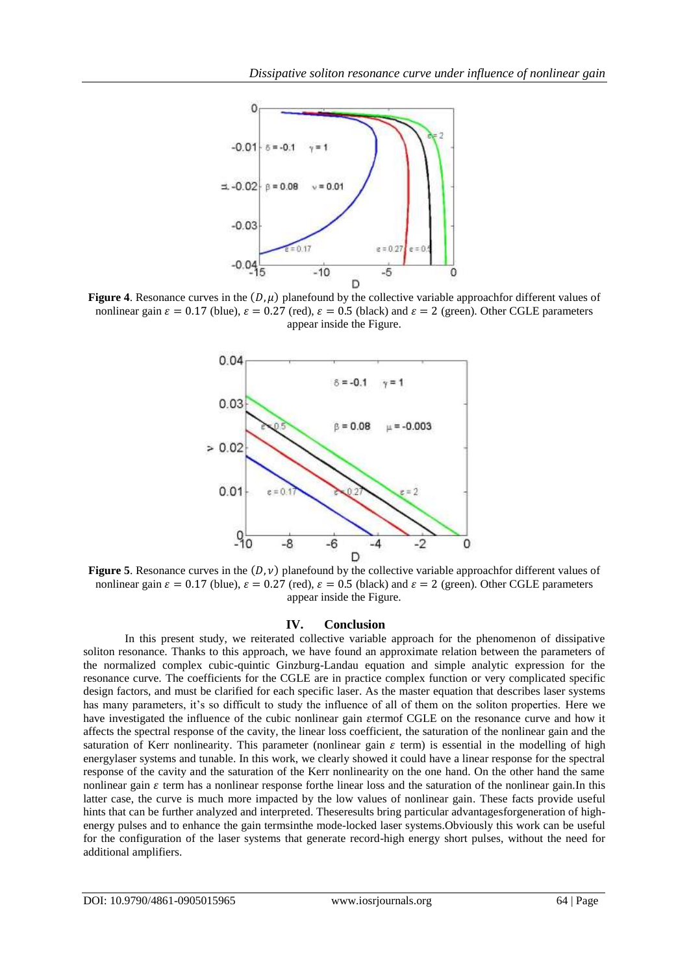

**Figure 4.** Resonance curves in the  $(D, \mu)$  planefound by the collective variable approachfor different values of nonlinear gain  $\varepsilon = 0.17$  (blue),  $\varepsilon = 0.27$  (red),  $\varepsilon = 0.5$  (black) and  $\varepsilon = 2$  (green). Other CGLE parameters appear inside the Figure.



**Figure 5.** Resonance curves in the  $(D, \nu)$  planefound by the collective variable approachfor different values of nonlinear gain  $\varepsilon = 0.17$  (blue),  $\varepsilon = 0.27$  (red),  $\varepsilon = 0.5$  (black) and  $\varepsilon = 2$  (green). Other CGLE parameters appear inside the Figure.

## **IV. Conclusion**

In this present study, we reiterated collective variable approach for the phenomenon of dissipative soliton resonance. Thanks to this approach, we have found an approximate relation between the parameters of the normalized complex cubic-quintic Ginzburg-Landau equation and simple analytic expression for the resonance curve. The coefficients for the CGLE are in practice complex function or very complicated specific design factors, and must be clarified for each specific laser. As the master equation that describes laser systems has many parameters, it's so difficult to study the influence of all of them on the soliton properties. Here we have investigated the influence of the cubic nonlinear gain  $\varepsilon$ termof CGLE on the resonance curve and how it affects the spectral response of the cavity, the linear loss coefficient, the saturation of the nonlinear gain and the saturation of Kerr nonlinearity. This parameter (nonlinear gain  $\varepsilon$  term) is essential in the modelling of high energylaser systems and tunable. In this work, we clearly showed it could have a linear response for the spectral response of the cavity and the saturation of the Kerr nonlinearity on the one hand. On the other hand the same nonlinear gain  $\varepsilon$  term has a nonlinear response forthe linear loss and the saturation of the nonlinear gain. In this latter case, the curve is much more impacted by the low values of nonlinear gain. These facts provide useful hints that can be further analyzed and interpreted. Theseresults bring particular advantagesforgeneration of highenergy pulses and to enhance the gain termsinthe mode-locked laser systems.Obviously this work can be useful for the configuration of the laser systems that generate record-high energy short pulses, without the need for additional amplifiers.